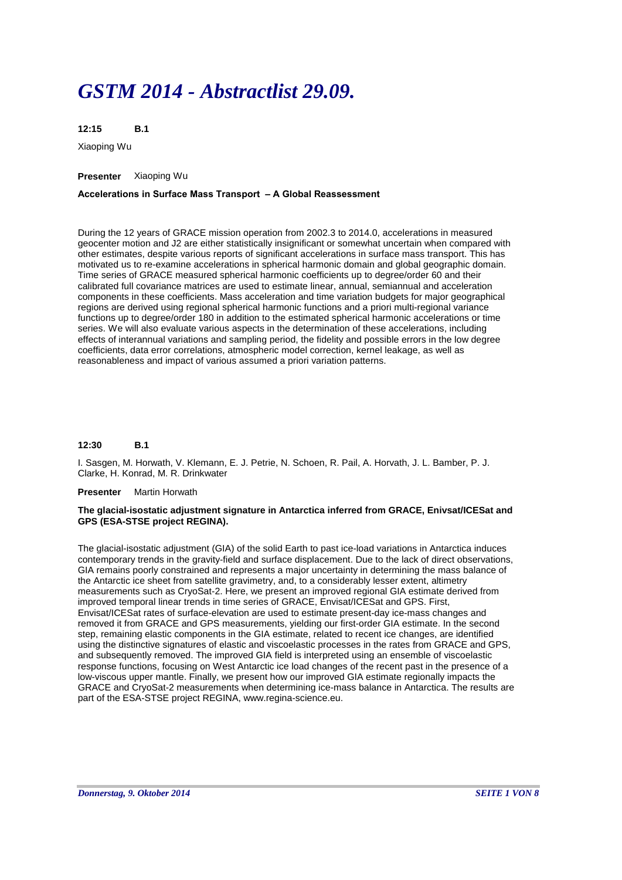# *GSTM 2014 - Abstractlist 29.09.*

**B.1 12:15**

Xiaoping Wu

# **Presenter** Xiaoping Wu

# **Accelerations in Surface Mass Transport – A Global Reassessment**

During the 12 years of GRACE mission operation from 2002.3 to 2014.0, accelerations in measured geocenter motion and J2 are either statistically insignificant or somewhat uncertain when compared with other estimates, despite various reports of significant accelerations in surface mass transport. This has motivated us to re-examine accelerations in spherical harmonic domain and global geographic domain. Time series of GRACE measured spherical harmonic coefficients up to degree/order 60 and their calibrated full covariance matrices are used to estimate linear, annual, semiannual and acceleration components in these coefficients. Mass acceleration and time variation budgets for major geographical regions are derived using regional spherical harmonic functions and a priori multi-regional variance functions up to degree/order 180 in addition to the estimated spherical harmonic accelerations or time series. We will also evaluate various aspects in the determination of these accelerations, including effects of interannual variations and sampling period, the fidelity and possible errors in the low degree coefficients, data error correlations, atmospheric model correction, kernel leakage, as well as reasonableness and impact of various assumed a priori variation patterns.

#### **B.1 12:30**

I. Sasgen, M. Horwath, V. Klemann, E. J. Petrie, N. Schoen, R. Pail, A. Horvath, J. L. Bamber, P. J. Clarke, H. Konrad, M. R. Drinkwater

# **Presenter** Martin Horwath

# **The glacial-isostatic adjustment signature in Antarctica inferred from GRACE, Enivsat/ICESat and GPS (ESA-STSE project REGINA).**

The glacial-isostatic adjustment (GIA) of the solid Earth to past ice-load variations in Antarctica induces contemporary trends in the gravity-field and surface displacement. Due to the lack of direct observations, GIA remains poorly constrained and represents a major uncertainty in determining the mass balance of the Antarctic ice sheet from satellite gravimetry, and, to a considerably lesser extent, altimetry measurements such as CryoSat-2. Here, we present an improved regional GIA estimate derived from improved temporal linear trends in time series of GRACE, Envisat/ICESat and GPS. First, Envisat/ICESat rates of surface-elevation are used to estimate present-day ice-mass changes and removed it from GRACE and GPS measurements, yielding our first-order GIA estimate. In the second step, remaining elastic components in the GIA estimate, related to recent ice changes, are identified using the distinctive signatures of elastic and viscoelastic processes in the rates from GRACE and GPS, and subsequently removed. The improved GIA field is interpreted using an ensemble of viscoelastic response functions, focusing on West Antarctic ice load changes of the recent past in the presence of a low-viscous upper mantle. Finally, we present how our improved GIA estimate regionally impacts the GRACE and CryoSat-2 measurements when determining ice-mass balance in Antarctica. The results are part of the ESA-STSE project REGINA, www.regina-science.eu.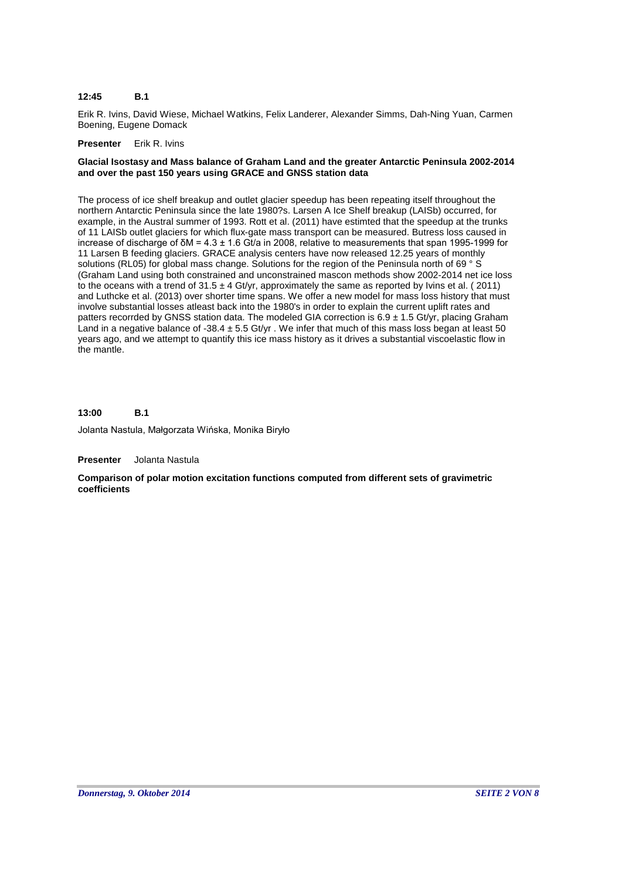### **B.1 12:45**

Erik R. Ivins, David Wiese, Michael Watkins, Felix Landerer, Alexander Simms, Dah-Ning Yuan, Carmen Boening, Eugene Domack

# **Presenter** Erik R. Ivins

# **Glacial Isostasy and Mass balance of Graham Land and the greater Antarctic Peninsula 2002-2014 and over the past 150 years using GRACE and GNSS station data**

The process of ice shelf breakup and outlet glacier speedup has been repeating itself throughout the northern Antarctic Peninsula since the late 1980?s. Larsen A Ice Shelf breakup (LAISb) occurred, for example, in the Austral summer of 1993. Rott et al. (2011) have estimted that the speedup at the trunks of 11 LAISb outlet glaciers for which flux-gate mass transport can be measured. Butress loss caused in increase of discharge of δΜ = 4.3 ± 1.6 Gt/a in 2008, relative to measurements that span 1995-1999 for 11 Larsen B feeding glaciers. GRACE analysis centers have now released 12.25 years of monthly solutions (RL05) for global mass change. Solutions for the region of the Peninsula north of 69 ° S (Graham Land using both constrained and unconstrained mascon methods show 2002-2014 net ice loss to the oceans with a trend of  $31.5 \pm 4$  Gt/yr, approximately the same as reported by Ivins et al. (2011) and Luthcke et al. (2013) over shorter time spans. We offer a new model for mass loss history that must involve substantial losses atleast back into the 1980's in order to explain the current uplift rates and patters recorrded by GNSS station data. The modeled GIA correction is 6.9 ± 1.5 Gt/yr, placing Graham Land in a negative balance of -38.4  $\pm$  5.5 Gt/yr. We infer that much of this mass loss began at least 50 years ago, and we attempt to quantify this ice mass history as it drives a substantial viscoelastic flow in the mantle.

#### **B.1 13:00**

Jolanta Nastula, Małgorzata Wińska, Monika Biryło

**Presenter** Jolanta Nastula

**Comparison of polar motion excitation functions computed from different sets of gravimetric coefficients**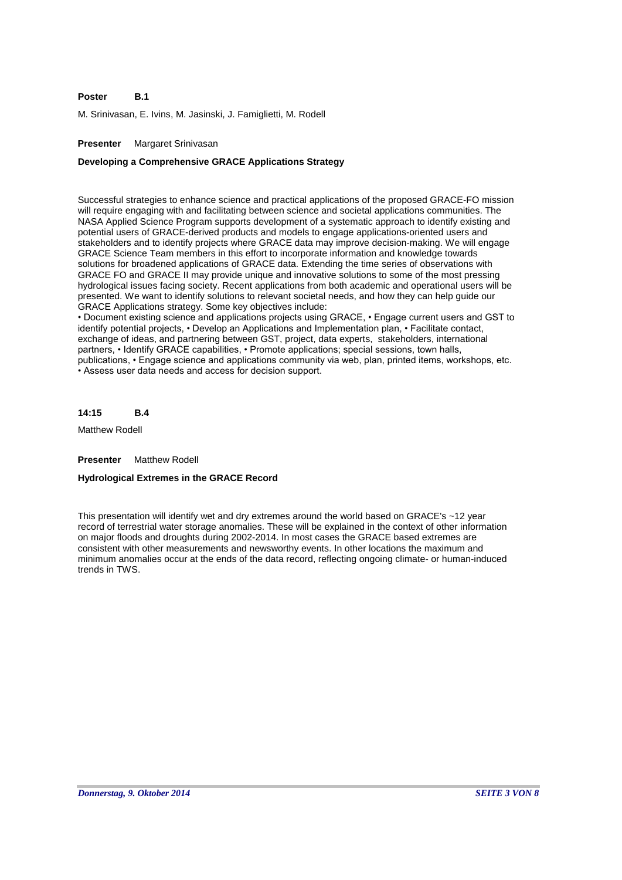#### **B.1 Poster**

M. Srinivasan, E. Ivins, M. Jasinski, J. Famiglietti, M. Rodell

# **Presenter** Margaret Srinivasan

# **Developing a Comprehensive GRACE Applications Strategy**

Successful strategies to enhance science and practical applications of the proposed GRACE-FO mission will require engaging with and facilitating between science and societal applications communities. The NASA Applied Science Program supports development of a systematic approach to identify existing and potential users of GRACE-derived products and models to engage applications-oriented users and stakeholders and to identify projects where GRACE data may improve decision-making. We will engage GRACE Science Team members in this effort to incorporate information and knowledge towards solutions for broadened applications of GRACE data. Extending the time series of observations with GRACE FO and GRACE II may provide unique and innovative solutions to some of the most pressing hydrological issues facing society. Recent applications from both academic and operational users will be presented. We want to identify solutions to relevant societal needs, and how they can help guide our GRACE Applications strategy. Some key objectives include:

• Document existing science and applications projects using GRACE, • Engage current users and GST to identify potential projects, • Develop an Applications and Implementation plan, • Facilitate contact, exchange of ideas, and partnering between GST, project, data experts, stakeholders, international partners, • Identify GRACE capabilities, • Promote applications; special sessions, town halls, publications, • Engage science and applications community via web, plan, printed items, workshops, etc. • Assess user data needs and access for decision support.

**B.4 14:15**

Matthew Rodell

**Presenter** Matthew Rodell

# **Hydrological Extremes in the GRACE Record**

This presentation will identify wet and dry extremes around the world based on GRACE's ~12 year record of terrestrial water storage anomalies. These will be explained in the context of other information on major floods and droughts during 2002-2014. In most cases the GRACE based extremes are consistent with other measurements and newsworthy events. In other locations the maximum and minimum anomalies occur at the ends of the data record, reflecting ongoing climate- or human-induced trends in TWS.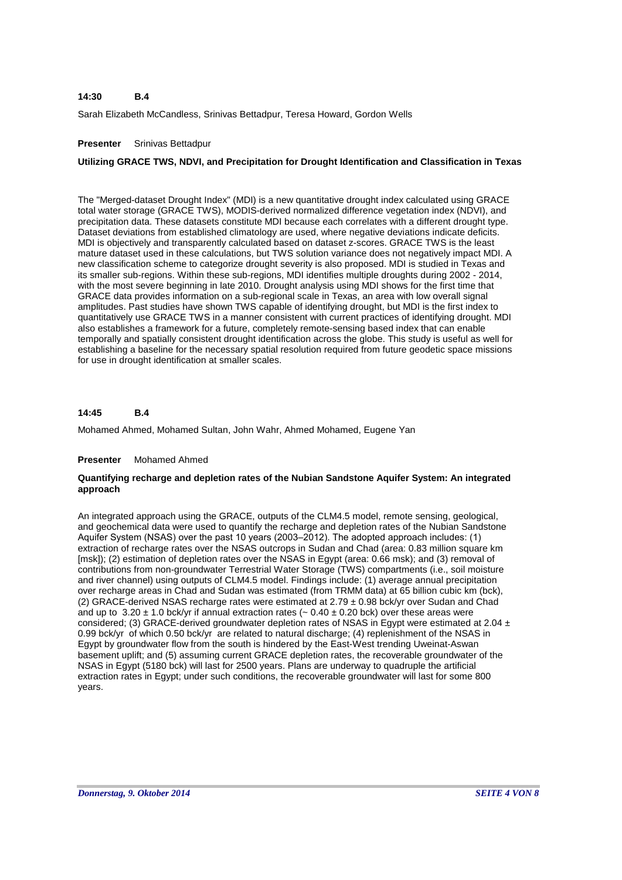### **B.4 14:30**

Sarah Elizabeth McCandless, Srinivas Bettadpur, Teresa Howard, Gordon Wells

# **Presenter** Srinivas Bettadpur

# **Utilizing GRACE TWS, NDVI, and Precipitation for Drought Identification and Classification in Texas**

The "Merged-dataset Drought Index" (MDI) is a new quantitative drought index calculated using GRACE total water storage (GRACE TWS), MODIS-derived normalized difference vegetation index (NDVI), and precipitation data. These datasets constitute MDI because each correlates with a different drought type. Dataset deviations from established climatology are used, where negative deviations indicate deficits. MDI is objectively and transparently calculated based on dataset z-scores. GRACE TWS is the least mature dataset used in these calculations, but TWS solution variance does not negatively impact MDI. A new classification scheme to categorize drought severity is also proposed. MDI is studied in Texas and its smaller sub-regions. Within these sub-regions, MDI identifies multiple droughts during 2002 - 2014, with the most severe beginning in late 2010. Drought analysis using MDI shows for the first time that GRACE data provides information on a sub-regional scale in Texas, an area with low overall signal amplitudes. Past studies have shown TWS capable of identifying drought, but MDI is the first index to quantitatively use GRACE TWS in a manner consistent with current practices of identifying drought. MDI also establishes a framework for a future, completely remote-sensing based index that can enable temporally and spatially consistent drought identification across the globe. This study is useful as well for establishing a baseline for the necessary spatial resolution required from future geodetic space missions for use in drought identification at smaller scales.

### **B.4 14:45**

Mohamed Ahmed, Mohamed Sultan, John Wahr, Ahmed Mohamed, Eugene Yan

# **Presenter** Mohamed Ahmed

# **Quantifying recharge and depletion rates of the Nubian Sandstone Aquifer System: An integrated approach**

An integrated approach using the GRACE, outputs of the CLM4.5 model, remote sensing, geological, and geochemical data were used to quantify the recharge and depletion rates of the Nubian Sandstone Aquifer System (NSAS) over the past 10 years (2003–2012). The adopted approach includes: (1) extraction of recharge rates over the NSAS outcrops in Sudan and Chad (area: 0.83 million square km [msk]); (2) estimation of depletion rates over the NSAS in Egypt (area: 0.66 msk); and (3) removal of contributions from non-groundwater Terrestrial Water Storage (TWS) compartments (i.e., soil moisture and river channel) using outputs of CLM4.5 model. Findings include: (1) average annual precipitation over recharge areas in Chad and Sudan was estimated (from TRMM data) at 65 billion cubic km (bck), (2) GRACE-derived NSAS recharge rates were estimated at 2.79 ± 0.98 bck/yr over Sudan and Chad and up to 3.20  $\pm$  1.0 bck/yr if annual extraction rates ( $\sim$  0.40  $\pm$  0.20 bck) over these areas were considered; (3) GRACE-derived groundwater depletion rates of NSAS in Egypt were estimated at 2.04 ± 0.99 bck/yr of which 0.50 bck/yr are related to natural discharge; (4) replenishment of the NSAS in Egypt by groundwater flow from the south is hindered by the East-West trending Uweinat-Aswan basement uplift; and (5) assuming current GRACE depletion rates, the recoverable groundwater of the NSAS in Egypt (5180 bck) will last for 2500 years. Plans are underway to quadruple the artificial extraction rates in Egypt; under such conditions, the recoverable groundwater will last for some 800 years.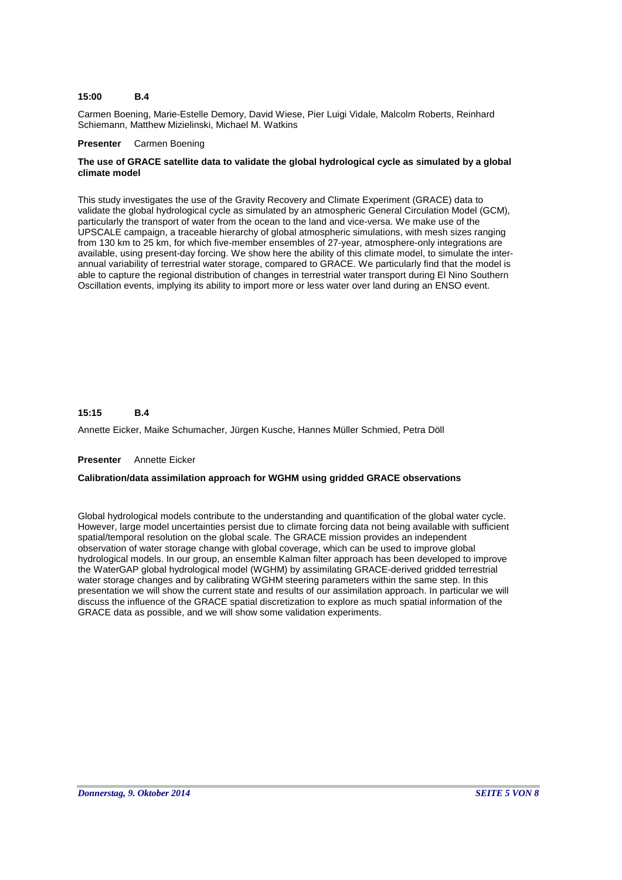#### **B.4 15:00**

Carmen Boening, Marie-Estelle Demory, David Wiese, Pier Luigi Vidale, Malcolm Roberts, Reinhard Schiemann, Matthew Mizielinski, Michael M. Watkins

### **Presenter** Carmen Boening

# **The use of GRACE satellite data to validate the global hydrological cycle as simulated by a global climate model**

This study investigates the use of the Gravity Recovery and Climate Experiment (GRACE) data to validate the global hydrological cycle as simulated by an atmospheric General Circulation Model (GCM), particularly the transport of water from the ocean to the land and vice-versa. We make use of the UPSCALE campaign, a traceable hierarchy of global atmospheric simulations, with mesh sizes ranging from 130 km to 25 km, for which five-member ensembles of 27-year, atmosphere-only integrations are available, using present-day forcing. We show here the ability of this climate model, to simulate the interannual variability of terrestrial water storage, compared to GRACE. We particularly find that the model is able to capture the regional distribution of changes in terrestrial water transport during El Nino Southern Oscillation events, implying its ability to import more or less water over land during an ENSO event.

### **B.4 15:15**

Annette Eicker, Maike Schumacher, Jürgen Kusche, Hannes Müller Schmied, Petra Döll

### **Presenter** Annette Eicker

# **Calibration/data assimilation approach for WGHM using gridded GRACE observations**

Global hydrological models contribute to the understanding and quantification of the global water cycle. However, large model uncertainties persist due to climate forcing data not being available with sufficient spatial/temporal resolution on the global scale. The GRACE mission provides an independent observation of water storage change with global coverage, which can be used to improve global hydrological models. In our group, an ensemble Kalman filter approach has been developed to improve the WaterGAP global hydrological model (WGHM) by assimilating GRACE-derived gridded terrestrial water storage changes and by calibrating WGHM steering parameters within the same step. In this presentation we will show the current state and results of our assimilation approach. In particular we will discuss the influence of the GRACE spatial discretization to explore as much spatial information of the GRACE data as possible, and we will show some validation experiments.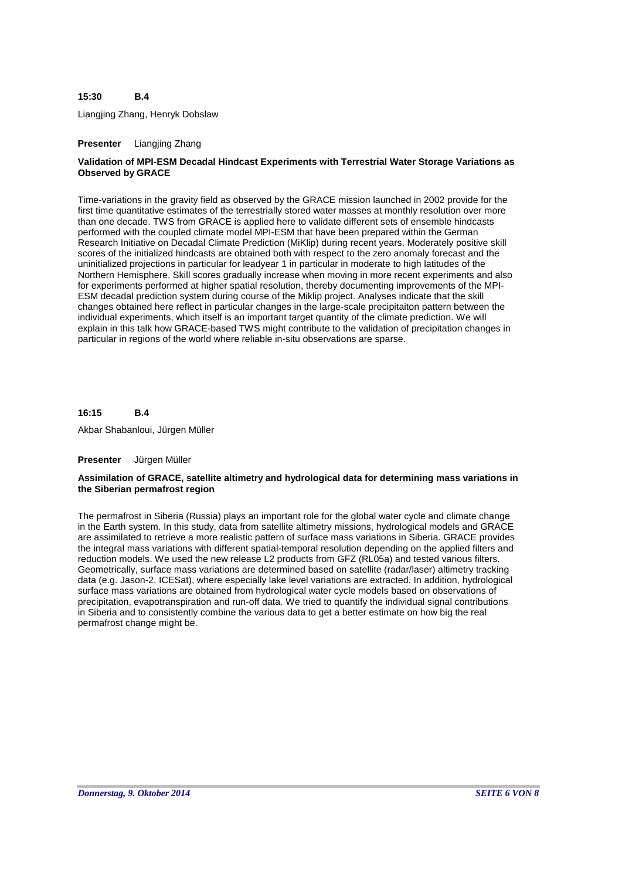### **B.4 15:30**

Liangjing Zhang, Henryk Dobslaw

# **Presenter** Liangjing Zhang

# **Validation of MPI-ESM Decadal Hindcast Experiments with Terrestrial Water Storage Variations as Observed by GRACE**

Time-variations in the gravity field as observed by the GRACE mission launched in 2002 provide for the first time quantitative estimates of the terrestrially stored water masses at monthly resolution over more than one decade. TWS from GRACE is applied here to validate different sets of ensemble hindcasts performed with the coupled climate model MPI-ESM that have been prepared within the German Research Initiative on Decadal Climate Prediction (MiKlip) during recent years. Moderately positive skill scores of the initialized hindcasts are obtained both with respect to the zero anomaly forecast and the uninitialized projections in particular for leadyear 1 in particular in moderate to high latitudes of the Northern Hemisphere. Skill scores gradually increase when moving in more recent experiments and also for experiments performed at higher spatial resolution, thereby documenting improvements of the MPI-ESM decadal prediction system during course of the Miklip project. Analyses indicate that the skill changes obtained here reflect in particular changes in the large-scale precipitaiton pattern between the individual experiments, which itself is an important target quantity of the climate prediction. We will explain in this talk how GRACE-based TWS might contribute to the validation of precipitation changes in particular in regions of the world where reliable in-situ observations are sparse.

#### **B.4 16:15**

Akbar Shabanloui, Jürgen Müller

### **Presenter** Jürgen Müller

### **Assimilation of GRACE, satellite altimetry and hydrological data for determining mass variations in the Siberian permafrost region**

The permafrost in Siberia (Russia) plays an important role for the global water cycle and climate change in the Earth system. In this study, data from satellite altimetry missions, hydrological models and GRACE are assimilated to retrieve a more realistic pattern of surface mass variations in Siberia. GRACE provides the integral mass variations with different spatial-temporal resolution depending on the applied filters and reduction models. We used the new release L2 products from GFZ (RL05a) and tested various filters. Geometrically, surface mass variations are determined based on satellite (radar/laser) altimetry tracking data (e.g. Jason-2, ICESat), where especially lake level variations are extracted. In addition, hydrological surface mass variations are obtained from hydrological water cycle models based on observations of precipitation, evapotranspiration and run-off data. We tried to quantify the individual signal contributions in Siberia and to consistently combine the various data to get a better estimate on how big the real permafrost change might be.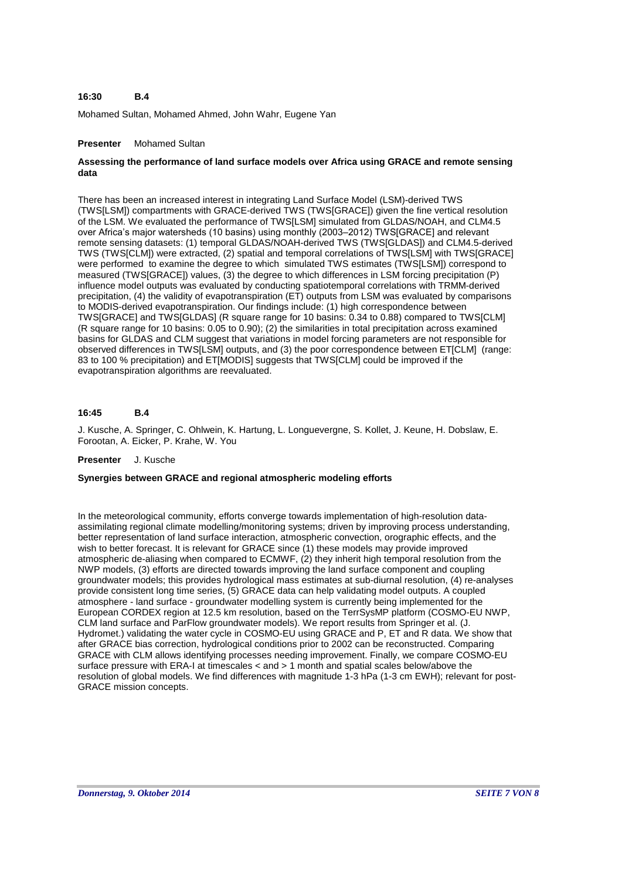### **B.4 16:30**

Mohamed Sultan, Mohamed Ahmed, John Wahr, Eugene Yan

# **Presenter** Mohamed Sultan

# **Assessing the performance of land surface models over Africa using GRACE and remote sensing data**

There has been an increased interest in integrating Land Surface Model (LSM)-derived TWS (TWS[LSM]) compartments with GRACE-derived TWS (TWS[GRACE]) given the fine vertical resolution of the LSM. We evaluated the performance of TWS[LSM] simulated from GLDAS/NOAH, and CLM4.5 over Africa's major watersheds (10 basins) using monthly (2003–2012) TWS[GRACE] and relevant remote sensing datasets: (1) temporal GLDAS/NOAH-derived TWS (TWS[GLDAS]) and CLM4.5-derived TWS (TWS[CLM]) were extracted, (2) spatial and temporal correlations of TWS[LSM] with TWS[GRACE] were performed to examine the degree to which simulated TWS estimates (TWS[LSM]) correspond to measured (TWS[GRACE]) values, (3) the degree to which differences in LSM forcing precipitation (P) influence model outputs was evaluated by conducting spatiotemporal correlations with TRMM-derived precipitation, (4) the validity of evapotranspiration (ET) outputs from LSM was evaluated by comparisons to MODIS-derived evapotranspiration. Our findings include: (1) high correspondence between TWS[GRACE] and TWS[GLDAS] (R square range for 10 basins: 0.34 to 0.88) compared to TWS[CLM] (R square range for 10 basins: 0.05 to 0.90); (2) the similarities in total precipitation across examined basins for GLDAS and CLM suggest that variations in model forcing parameters are not responsible for observed differences in TWS[LSM] outputs, and (3) the poor correspondence between ET[CLM] (range: 83 to 100 % precipitation) and ET[MODIS] suggests that TWS[CLM] could be improved if the evapotranspiration algorithms are reevaluated.

### **B.4 16:45**

J. Kusche, A. Springer, C. Ohlwein, K. Hartung, L. Longuevergne, S. Kollet, J. Keune, H. Dobslaw, E. Forootan, A. Eicker, P. Krahe, W. You

### **Presenter** J. Kusche

# **Synergies between GRACE and regional atmospheric modeling efforts**

In the meteorological community, efforts converge towards implementation of high-resolution dataassimilating regional climate modelling/monitoring systems; driven by improving process understanding, better representation of land surface interaction, atmospheric convection, orographic effects, and the wish to better forecast. It is relevant for GRACE since (1) these models may provide improved atmospheric de-aliasing when compared to ECMWF, (2) they inherit high temporal resolution from the NWP models, (3) efforts are directed towards improving the land surface component and coupling groundwater models; this provides hydrological mass estimates at sub-diurnal resolution, (4) re-analyses provide consistent long time series, (5) GRACE data can help validating model outputs. A coupled atmosphere - land surface - groundwater modelling system is currently being implemented for the European CORDEX region at 12.5 km resolution, based on the TerrSysMP platform (COSMO-EU NWP, CLM land surface and ParFlow groundwater models). We report results from Springer et al. (J. Hydromet.) validating the water cycle in COSMO-EU using GRACE and P, ET and R data. We show that after GRACE bias correction, hydrological conditions prior to 2002 can be reconstructed. Comparing GRACE with CLM allows identifying processes needing improvement. Finally, we compare COSMO-EU surface pressure with ERA-I at timescales < and > 1 month and spatial scales below/above the resolution of global models. We find differences with magnitude 1-3 hPa (1-3 cm EWH); relevant for post-GRACE mission concepts.